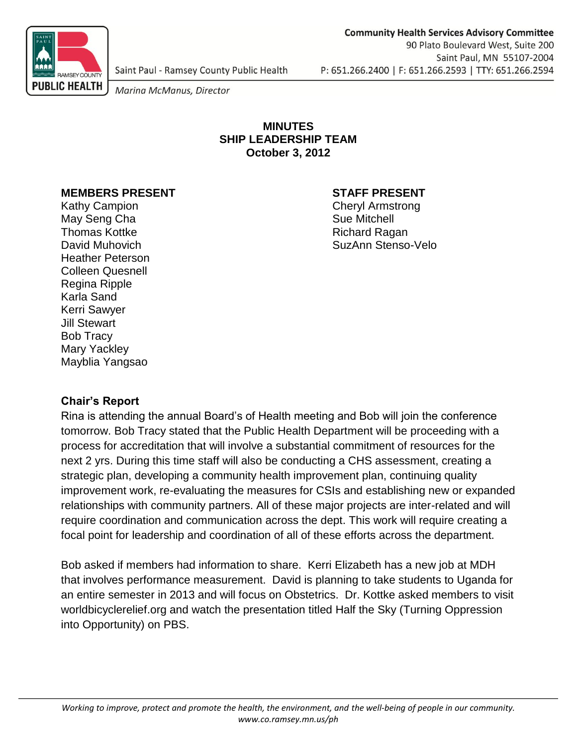

Saint Paul - Ramsey County Public Health

Marina McManus, Director

#### **MINUTES SHIP LEADERSHIP TEAM October 3, 2012**

#### **MEMBERS PRESENT STAFF PRESENT**

Kathy Campion **Cheryl Armstrong** May Seng Cha Sue Mitchell Thomas Kottke **Richard Ragan** Heather Peterson Colleen Quesnell Regina Ripple Karla Sand Kerri Sawyer Jill Stewart Bob Tracy Mary Yackley Mayblia Yangsao

David Muhovich SuzAnn Stenso-Velo

# **Chair's Report**

Rina is attending the annual Board's of Health meeting and Bob will join the conference tomorrow. Bob Tracy stated that the Public Health Department will be proceeding with a process for accreditation that will involve a substantial commitment of resources for the next 2 yrs. During this time staff will also be conducting a CHS assessment, creating a strategic plan, developing a community health improvement plan, continuing quality improvement work, re-evaluating the measures for CSIs and establishing new or expanded relationships with community partners. All of these major projects are inter-related and will require coordination and communication across the dept. This work will require creating a focal point for leadership and coordination of all of these efforts across the department.

Bob asked if members had information to share. Kerri Elizabeth has a new job at MDH that involves performance measurement. David is planning to take students to Uganda for an entire semester in 2013 and will focus on Obstetrics. Dr. Kottke asked members to visit worldbicyclerelief.org and watch the presentation titled Half the Sky (Turning Oppression into Opportunity) on PBS.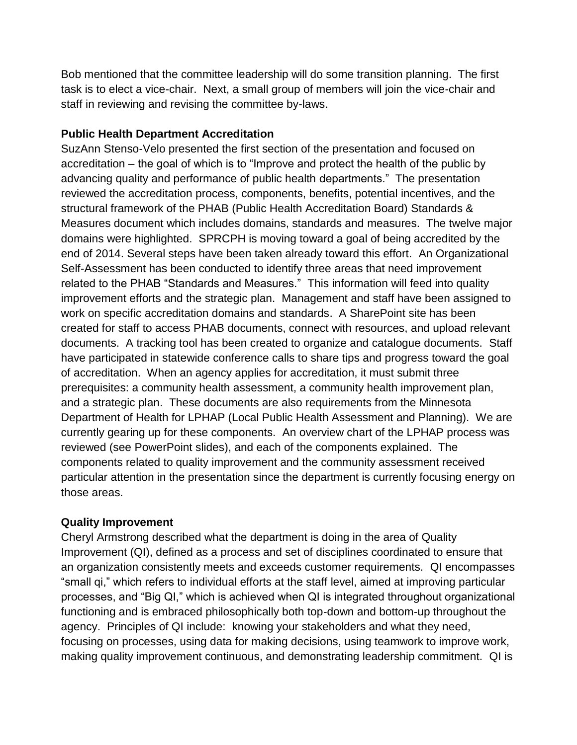Bob mentioned that the committee leadership will do some transition planning. The first task is to elect a vice-chair. Next, a small group of members will join the vice-chair and staff in reviewing and revising the committee by-laws.

# **Public Health Department Accreditation**

SuzAnn Stenso-Velo presented the first section of the presentation and focused on accreditation – the goal of which is to "Improve and protect the health of the public by advancing quality and performance of public health departments." The presentation reviewed the accreditation process, components, benefits, potential incentives, and the structural framework of the PHAB (Public Health Accreditation Board) Standards & Measures document which includes domains, standards and measures. The twelve major domains were highlighted. SPRCPH is moving toward a goal of being accredited by the end of 2014. Several steps have been taken already toward this effort. An Organizational Self-Assessment has been conducted to identify three areas that need improvement related to the PHAB "Standards and Measures." This information will feed into quality improvement efforts and the strategic plan. Management and staff have been assigned to work on specific accreditation domains and standards. A SharePoint site has been created for staff to access PHAB documents, connect with resources, and upload relevant documents. A tracking tool has been created to organize and catalogue documents. Staff have participated in statewide conference calls to share tips and progress toward the goal of accreditation. When an agency applies for accreditation, it must submit three prerequisites: a community health assessment, a community health improvement plan, and a strategic plan. These documents are also requirements from the Minnesota Department of Health for LPHAP (Local Public Health Assessment and Planning). We are currently gearing up for these components. An overview chart of the LPHAP process was reviewed (see PowerPoint slides), and each of the components explained. The components related to quality improvement and the community assessment received particular attention in the presentation since the department is currently focusing energy on those areas.

# **Quality Improvement**

Cheryl Armstrong described what the department is doing in the area of Quality Improvement (QI), defined as a process and set of disciplines coordinated to ensure that an organization consistently meets and exceeds customer requirements. QI encompasses "small qi," which refers to individual efforts at the staff level, aimed at improving particular processes, and "Big QI," which is achieved when QI is integrated throughout organizational functioning and is embraced philosophically both top-down and bottom-up throughout the agency. Principles of QI include: knowing your stakeholders and what they need, focusing on processes, using data for making decisions, using teamwork to improve work, making quality improvement continuous, and demonstrating leadership commitment. QI is